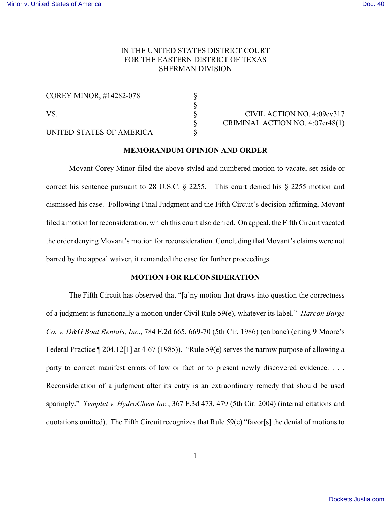# IN THE UNITED STATES DISTRICT COURT FOR THE EASTERN DISTRICT OF TEXAS SHERMAN DIVISION

| <b>COREY MINOR, #14282-078</b><br>VS. |  |
|---------------------------------------|--|
|                                       |  |
| UNITED STATES OF AMERICA              |  |

CIVIL ACTION NO. 4:09cv317 § CRIMINAL ACTION NO. 4:07cr48(1)

### **MEMORANDUM OPINION AND ORDER**

 $\frac{8}{8}$ 

Movant Corey Minor filed the above-styled and numbered motion to vacate, set aside or correct his sentence pursuant to 28 U.S.C. § 2255. This court denied his § 2255 motion and dismissed his case. Following Final Judgment and the Fifth Circuit's decision affirming, Movant filed a motion for reconsideration, which this court also denied. On appeal, the Fifth Circuit vacated the order denying Movant's motion for reconsideration. Concluding that Movant's claims were not barred by the appeal waiver, it remanded the case for further proceedings.

## **MOTION FOR RECONSIDERATION**

The Fifth Circuit has observed that "[a]ny motion that draws into question the correctness of a judgment is functionally a motion under Civil Rule 59(e), whatever its label." *Harcon Barge Co. v. D&G Boat Rentals, Inc*., 784 F.2d 665, 669-70 (5th Cir. 1986) (en banc) (citing 9 Moore's Federal Practice ¶ 204.12[1] at 4-67 (1985)). "Rule 59(e) serves the narrow purpose of allowing a party to correct manifest errors of law or fact or to present newly discovered evidence. . . . Reconsideration of a judgment after its entry is an extraordinary remedy that should be used sparingly." *Templet v. HydroChem Inc.*, 367 F.3d 473, 479 (5th Cir. 2004) (internal citations and quotations omitted). The Fifth Circuit recognizes that Rule 59(e) "favor[s] the denial of motions to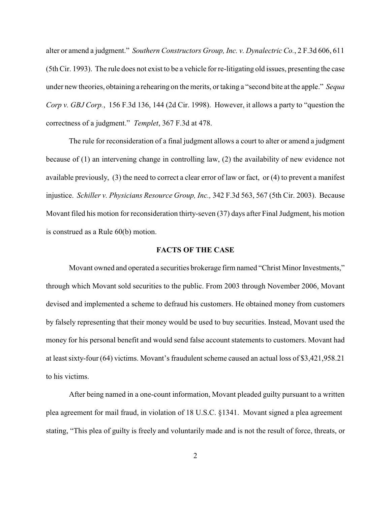alter or amend a judgment." *Southern Constructors Group, Inc. v. Dynalectric Co.*, 2 F.3d 606, 611 (5th Cir. 1993). The rule does not exist to be a vehicle for re-litigating old issues, presenting the case under new theories, obtaining a rehearing on the merits, or taking a "second bite at the apple." *Sequa Corp v. GBJ Corp.*, 156 F.3d 136, 144 (2d Cir. 1998). However, it allows a party to "question the correctness of a judgment." *Templet*, 367 F.3d at 478.

The rule for reconsideration of a final judgment allows a court to alter or amend a judgment because of (1) an intervening change in controlling law, (2) the availability of new evidence not available previously, (3) the need to correct a clear error of law or fact, or (4) to prevent a manifest injustice. *Schiller v. Physicians Resource Group, Inc.,* 342 F.3d 563, 567 (5th Cir. 2003). Because Movant filed his motion for reconsideration thirty-seven (37) days after Final Judgment, his motion is construed as a Rule 60(b) motion.

### **FACTS OF THE CASE**

Movant owned and operated a securities brokerage firm named "Christ Minor Investments," through which Movant sold securities to the public. From 2003 through November 2006, Movant devised and implemented a scheme to defraud his customers. He obtained money from customers by falsely representing that their money would be used to buy securities. Instead, Movant used the money for his personal benefit and would send false account statements to customers. Movant had at least sixty-four (64) victims. Movant's fraudulent scheme caused an actual loss of \$3,421,958.21 to his victims.

After being named in a one-count information, Movant pleaded guilty pursuant to a written plea agreement for mail fraud, in violation of 18 U.S.C. §1341. Movant signed a plea agreement stating, "This plea of guilty is freely and voluntarily made and is not the result of force, threats, or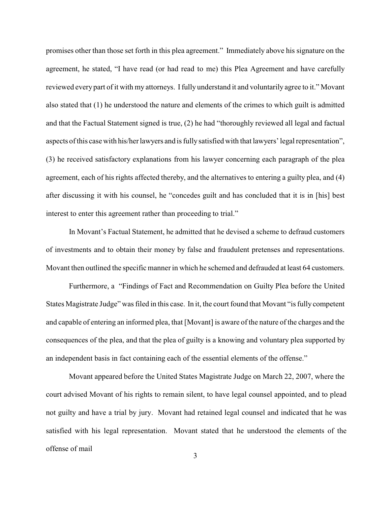promises other than those set forth in this plea agreement." Immediately above his signature on the agreement, he stated, "I have read (or had read to me) this Plea Agreement and have carefully reviewed every part of it with my attorneys. I fully understand it and voluntarily agree to it." Movant also stated that (1) he understood the nature and elements of the crimes to which guilt is admitted and that the Factual Statement signed is true, (2) he had "thoroughly reviewed all legal and factual aspects of this case with his/her lawyers and is fully satisfied with that lawyers' legal representation", (3) he received satisfactory explanations from his lawyer concerning each paragraph of the plea agreement, each of his rights affected thereby, and the alternatives to entering a guilty plea, and (4) after discussing it with his counsel, he "concedes guilt and has concluded that it is in [his] best interest to enter this agreement rather than proceeding to trial."

In Movant's Factual Statement, he admitted that he devised a scheme to defraud customers of investments and to obtain their money by false and fraudulent pretenses and representations. Movant then outlined the specific manner in which he schemed and defrauded at least 64 customers.

Furthermore, a "Findings of Fact and Recommendation on Guilty Plea before the United States Magistrate Judge" was filed in this case. In it, the court found that Movant "is fully competent and capable of entering an informed plea, that [Movant] is aware of the nature of the charges and the consequences of the plea, and that the plea of guilty is a knowing and voluntary plea supported by an independent basis in fact containing each of the essential elements of the offense."

Movant appeared before the United States Magistrate Judge on March 22, 2007, where the court advised Movant of his rights to remain silent, to have legal counsel appointed, and to plead not guilty and have a trial by jury. Movant had retained legal counsel and indicated that he was satisfied with his legal representation. Movant stated that he understood the elements of the offense of mail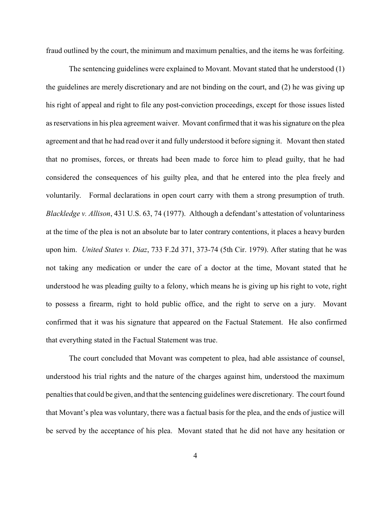fraud outlined by the court, the minimum and maximum penalties, and the items he was forfeiting.

The sentencing guidelines were explained to Movant. Movant stated that he understood (1) the guidelines are merely discretionary and are not binding on the court, and (2) he was giving up his right of appeal and right to file any post-conviction proceedings, except for those issues listed as reservations in his plea agreement waiver. Movant confirmed that it was his signature on the plea agreement and that he had read over it and fully understood it before signing it. Movant then stated that no promises, forces, or threats had been made to force him to plead guilty, that he had considered the consequences of his guilty plea, and that he entered into the plea freely and voluntarily. Formal declarations in open court carry with them a strong presumption of truth. *Blackledge v. Allison*, 431 U.S. 63, 74 (1977). Although a defendant's attestation of voluntariness at the time of the plea is not an absolute bar to later contrary contentions, it places a heavy burden upon him. *United States v. Diaz*, 733 F.2d 371, 373-74 (5th Cir. 1979). After stating that he was not taking any medication or under the care of a doctor at the time, Movant stated that he understood he was pleading guilty to a felony, which means he is giving up his right to vote, right to possess a firearm, right to hold public office, and the right to serve on a jury. Movant confirmed that it was his signature that appeared on the Factual Statement. He also confirmed that everything stated in the Factual Statement was true.

The court concluded that Movant was competent to plea, had able assistance of counsel, understood his trial rights and the nature of the charges against him, understood the maximum penalties that could be given, and that the sentencing guidelines were discretionary. The court found that Movant's plea was voluntary, there was a factual basis for the plea, and the ends of justice will be served by the acceptance of his plea. Movant stated that he did not have any hesitation or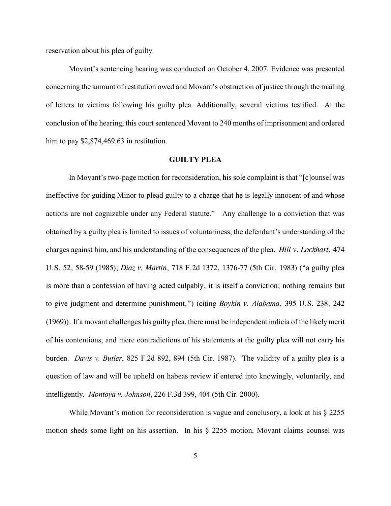reservation about his plea of guilty.

Movant's sentencing hearing was conducted on October 4, 2007. Evidence was presented concerning the amount of restitution owed and Movant's obstruction of justice through the mailing of letters to victims following his guilty plea. Additionally, several victims testified. At the conclusion of the hearing, this court sentenced Movant to 240 months of imprisonment and ordered him to pay \$2,874,469.63 in restitution.

## **GUILTY PLEA**

In Movant's two-page motion for reconsideration, his sole complaint is that "[c]ounsel was ineffective for guiding Minor to plead guilty to a charge that he is legally innocent of and whose actions are not cognizable under any Federal statute." Any challenge to a conviction that was obtained by a guilty plea is limited to issues of voluntariness, the defendant's understanding of the charges against him, and his understanding of the consequences of the plea. *Hill v. Lockhart,* 474 U.S. 52, 58-59 (1985); *Diaz v. Martin*, 718 F.2d 1372, 1376-77 (5th Cir. 1983) ("a guilty plea is more than a confession of having acted culpably, it is itself a conviction; nothing remains but to give judgment and determine punishment.") (citing *Boykin v. Alabama*, 395 U.S. 238, 242 (1969)). If a movant challenges his guilty plea, there must be independent indicia of the likely merit of his contentions, and mere contradictions of his statements at the guilty plea will not carry his burden. *Davis v. Butler*, 825 F.2d 892, 894 (5th Cir. 1987). The validity of a guilty plea is a question of law and will be upheld on habeas review if entered into knowingly, voluntarily, and intelligently. *Montoya v. Johnson*, 226 F.3d 399, 404 (5th Cir. 2000).

While Movant's motion for reconsideration is vague and conclusory, a look at his  $\S 2255$ motion sheds some light on his assertion. In his § 2255 motion, Movant claims counsel was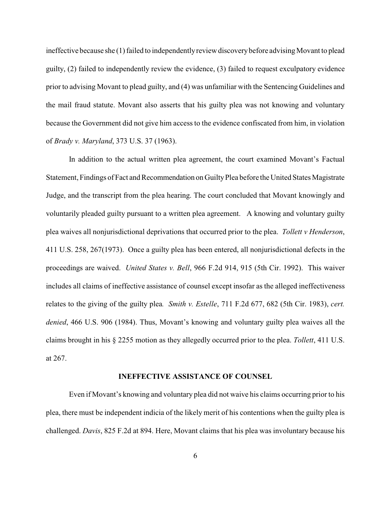ineffective because she (1) failed to independentlyreview discoverybefore advisingMovant to plead guilty, (2) failed to independently review the evidence, (3) failed to request exculpatory evidence prior to advising Movant to plead guilty, and (4) was unfamiliar with the Sentencing Guidelines and the mail fraud statute. Movant also asserts that his guilty plea was not knowing and voluntary because the Government did not give him access to the evidence confiscated from him, in violation of *Brady v. Maryland*, 373 U.S. 37 (1963).

In addition to the actual written plea agreement, the court examined Movant's Factual Statement, Findings of Fact and Recommendation on GuiltyPlea before the United States Magistrate Judge, and the transcript from the plea hearing. The court concluded that Movant knowingly and voluntarily pleaded guilty pursuant to a written plea agreement. A knowing and voluntary guilty plea waives all nonjurisdictional deprivations that occurred prior to the plea. *Tollett v Henderson*, 411 U.S. 258, 267(1973). Once a guilty plea has been entered, all nonjurisdictional defects in the proceedings are waived. *United States v. Bell*, 966 F.2d 914, 915 (5th Cir. 1992). This waiver includes all claims of ineffective assistance of counsel except insofar as the alleged ineffectiveness relates to the giving of the guilty plea*. Smith v. Estelle*, 711 F.2d 677, 682 (5th Cir. 1983), *cert. denied*, 466 U.S. 906 (1984). Thus, Movant's knowing and voluntary guilty plea waives all the claims brought in his § 2255 motion as they allegedly occurred prior to the plea. *Tollett*, 411 U.S. at 267.

### **INEFFECTIVE ASSISTANCE OF COUNSEL**

Even if Movant's knowing and voluntary plea did not waive his claims occurring prior to his plea, there must be independent indicia of the likely merit of his contentions when the guilty plea is challenged. *Davis*, 825 F.2d at 894. Here, Movant claims that his plea was involuntary because his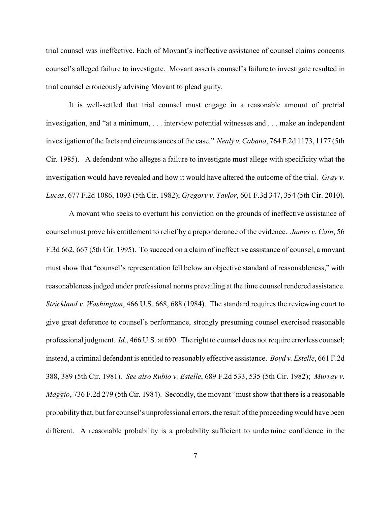trial counsel was ineffective. Each of Movant's ineffective assistance of counsel claims concerns counsel's alleged failure to investigate. Movant asserts counsel's failure to investigate resulted in trial counsel erroneously advising Movant to plead guilty.

It is well-settled that trial counsel must engage in a reasonable amount of pretrial investigation, and "at a minimum, . . . interview potential witnesses and . . . make an independent investigation of the facts and circumstances of the case." *Nealy v. Cabana*, 764 F.2d 1173, 1177 (5th Cir. 1985). A defendant who alleges a failure to investigate must allege with specificity what the investigation would have revealed and how it would have altered the outcome of the trial. *Gray v. Lucas*, 677 F.2d 1086, 1093 (5th Cir. 1982); *Gregory v. Taylor*, 601 F.3d 347, 354 (5th Cir. 2010).

A movant who seeks to overturn his conviction on the grounds of ineffective assistance of counsel must prove his entitlement to relief by a preponderance of the evidence. *James v. Cain*, 56 F.3d 662, 667 (5th Cir. 1995). To succeed on a claim of ineffective assistance of counsel, a movant must show that "counsel's representation fell below an objective standard of reasonableness," with reasonableness judged under professional norms prevailing at the time counsel rendered assistance. *Strickland v. Washington*, 466 U.S. 668, 688 (1984). The standard requires the reviewing court to give great deference to counsel's performance, strongly presuming counsel exercised reasonable professional judgment. *Id*., 466 U.S. at 690. The right to counsel does not require errorless counsel; instead, a criminal defendant is entitled to reasonably effective assistance. *Boyd v. Estelle*, 661 F.2d 388, 389 (5th Cir. 1981). *See also Rubio v. Estelle*, 689 F.2d 533, 535 (5th Cir. 1982); *Murray v. Maggio*, 736 F.2d 279 (5th Cir. 1984). Secondly, the movant "must show that there is a reasonable probabilitythat, but for counsel's unprofessional errors, the result of the proceedingwould have been different. A reasonable probability is a probability sufficient to undermine confidence in the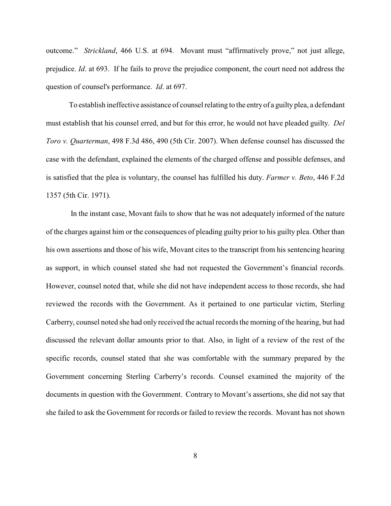outcome." *Strickland*, 466 U.S. at 694. Movant must "affirmatively prove," not just allege, prejudice. *Id*. at 693. If he fails to prove the prejudice component, the court need not address the question of counsel's performance. *Id*. at 697.

To establish ineffective assistance of counsel relating to the entryof a guilty plea, a defendant must establish that his counsel erred, and but for this error, he would not have pleaded guilty. *Del Toro v. Quarterman*, 498 F.3d 486, 490 (5th Cir. 2007). When defense counsel has discussed the case with the defendant, explained the elements of the charged offense and possible defenses, and is satisfied that the plea is voluntary, the counsel has fulfilled his duty. *Farmer v. Beto*, 446 F.2d 1357 (5th Cir. 1971).

In the instant case, Movant fails to show that he was not adequately informed of the nature of the charges against him or the consequences of pleading guilty prior to his guilty plea. Other than his own assertions and those of his wife, Movant cites to the transcript from his sentencing hearing as support, in which counsel stated she had not requested the Government's financial records. However, counsel noted that, while she did not have independent access to those records, she had reviewed the records with the Government. As it pertained to one particular victim, Sterling Carberry, counsel noted she had only received the actual records the morning of the hearing, but had discussed the relevant dollar amounts prior to that. Also, in light of a review of the rest of the specific records, counsel stated that she was comfortable with the summary prepared by the Government concerning Sterling Carberry's records. Counsel examined the majority of the documents in question with the Government. Contrary to Movant's assertions, she did not say that she failed to ask the Government for records or failed to review the records. Movant has not shown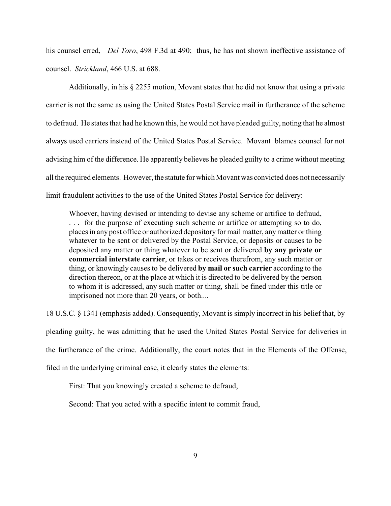his counsel erred, *Del Toro*, 498 F.3d at 490; thus, he has not shown ineffective assistance of counsel. *Strickland*, 466 U.S. at 688.

Additionally, in his § 2255 motion, Movant states that he did not know that using a private carrier is not the same as using the United States Postal Service mail in furtherance of the scheme to defraud. He states that had he known this, he would not have pleaded guilty, noting that he almost always used carriers instead of the United States Postal Service. Movant blames counsel for not advising him of the difference. He apparently believes he pleaded guilty to a crime without meeting all the required elements. However, the statute for which Movant was convicted does not necessarily limit fraudulent activities to the use of the United States Postal Service for delivery:

Whoever, having devised or intending to devise any scheme or artifice to defraud, . . . for the purpose of executing such scheme or artifice or attempting so to do, places in any post office or authorized depository for mail matter, any matter or thing whatever to be sent or delivered by the Postal Service, or deposits or causes to be deposited any matter or thing whatever to be sent or delivered **by any private or commercial interstate carrier**, or takes or receives therefrom, any such matter or thing, or knowingly causes to be delivered **by mail or such carrier** according to the direction thereon, or at the place at which it is directed to be delivered by the person to whom it is addressed, any such matter or thing, shall be fined under this title or imprisoned not more than 20 years, or both....

18 U.S.C. § 1341 (emphasis added). Consequently, Movant is simply incorrect in his belief that, by pleading guilty, he was admitting that he used the United States Postal Service for deliveries in the furtherance of the crime. Additionally, the court notes that in the Elements of the Offense, filed in the underlying criminal case, it clearly states the elements:

First: That you knowingly created a scheme to defraud,

Second: That you acted with a specific intent to commit fraud,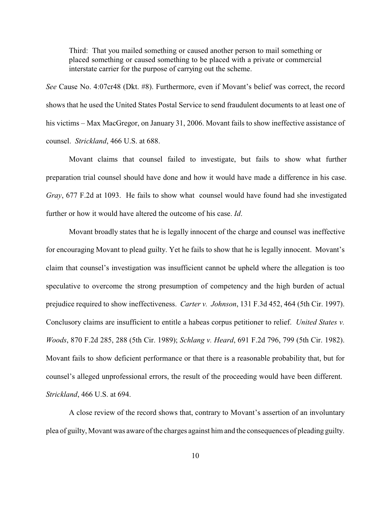Third: That you mailed something or caused another person to mail something or placed something or caused something to be placed with a private or commercial interstate carrier for the purpose of carrying out the scheme.

*See* Cause No. 4:07cr48 (Dkt. #8). Furthermore, even if Movant's belief was correct, the record shows that he used the United States Postal Service to send fraudulent documents to at least one of his victims – Max MacGregor, on January 31, 2006. Movant fails to show ineffective assistance of counsel. *Strickland*, 466 U.S. at 688.

Movant claims that counsel failed to investigate, but fails to show what further preparation trial counsel should have done and how it would have made a difference in his case. *Gray*, 677 F.2d at 1093. He fails to show what counsel would have found had she investigated further or how it would have altered the outcome of his case. *Id*.

Movant broadly states that he is legally innocent of the charge and counsel was ineffective for encouraging Movant to plead guilty. Yet he fails to show that he is legally innocent. Movant's claim that counsel's investigation was insufficient cannot be upheld where the allegation is too speculative to overcome the strong presumption of competency and the high burden of actual prejudice required to show ineffectiveness. *Carter v. Johnson*, 131 F.3d 452, 464 (5th Cir. 1997). Conclusory claims are insufficient to entitle a habeas corpus petitioner to relief. *United States v. Woods*, 870 F.2d 285, 288 (5th Cir. 1989); *Schlang v. Heard*, 691 F.2d 796, 799 (5th Cir. 1982). Movant fails to show deficient performance or that there is a reasonable probability that, but for counsel's alleged unprofessional errors, the result of the proceeding would have been different. *Strickland*, 466 U.S. at 694.

A close review of the record shows that, contrary to Movant's assertion of an involuntary plea of guilty, Movant was aware of the charges against him and the consequences of pleading guilty.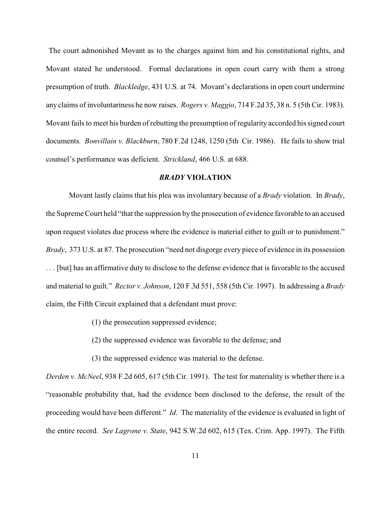The court admonished Movant as to the charges against him and his constitutional rights, and Movant stated he understood. Formal declarations in open court carry with them a strong presumption of truth. *Blackledge*, 431 U.S. at 74. Movant's declarations in open court undermine any claims of involuntariness he now raises. *Rogers v. Maggio*, 714 F.2d 35, 38 n. 5 (5th Cir. 1983). Movant fails to meet his burden of rebutting the presumption of regularity accorded his signed court documents*. Bonvillain v. Blackburn*, 780 F.2d 1248, 1250 (5th Cir. 1986). He fails to show trial counsel's performance was deficient. *Strickland*, 466 U.S. at 688.

### *BRADY* **VIOLATION**

Movant lastly claims that his plea was involuntary because of a *Brady* violation. In *Brady*, the Supreme Court held "that the suppression by the prosecution of evidence favorable to an accused upon request violates due process where the evidence is material either to guilt or to punishment." *Brady*, 373 U.S. at 87. The prosecution "need not disgorge every piece of evidence in its possession . . . [but] has an affirmative duty to disclose to the defense evidence that is favorable to the accused and material to guilt." *Rector v. Johnson*, 120 F.3d 551, 558 (5th Cir. 1997). In addressing a *Brady* claim, the Fifth Circuit explained that a defendant must prove:

- (1) the prosecution suppressed evidence;
- (2) the suppressed evidence was favorable to the defense; and
- (3) the suppressed evidence was material to the defense.

*Derden v. McNeel*, 938 F.2d 605, 617 (5th Cir. 1991). The test for materiality is whether there is a "reasonable probability that, had the evidence been disclosed to the defense, the result of the proceeding would have been different." *Id*. The materiality of the evidence is evaluated in light of the entire record. *See Lagrone v. State*, 942 S.W.2d 602, 615 (Tex. Crim. App. 1997). The Fifth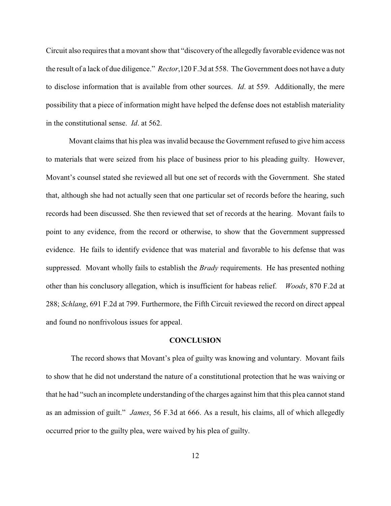Circuit also requires that a movant show that "discovery of the allegedly favorable evidence was not the result of a lack of due diligence." *Rector*,120 F.3d at 558. The Government does not have a duty to disclose information that is available from other sources. *Id*. at 559. Additionally, the mere possibility that a piece of information might have helped the defense does not establish materiality in the constitutional sense. *Id*. at 562.

Movant claims that his plea was invalid because the Government refused to give him access to materials that were seized from his place of business prior to his pleading guilty. However, Movant's counsel stated she reviewed all but one set of records with the Government. She stated that, although she had not actually seen that one particular set of records before the hearing, such records had been discussed. She then reviewed that set of records at the hearing. Movant fails to point to any evidence, from the record or otherwise, to show that the Government suppressed evidence. He fails to identify evidence that was material and favorable to his defense that was suppressed. Movant wholly fails to establish the *Brady* requirements. He has presented nothing other than his conclusory allegation, which is insufficient for habeas relief. *Woods*, 870 F.2d at 288; *Schlang*, 691 F.2d at 799. Furthermore, the Fifth Circuit reviewed the record on direct appeal and found no nonfrivolous issues for appeal.

#### **CONCLUSION**

The record shows that Movant's plea of guilty was knowing and voluntary. Movant fails to show that he did not understand the nature of a constitutional protection that he was waiving or that he had "such an incomplete understanding of the charges against him that this plea cannot stand as an admission of guilt." *James*, 56 F.3d at 666. As a result, his claims, all of which allegedly occurred prior to the guilty plea, were waived by his plea of guilty.